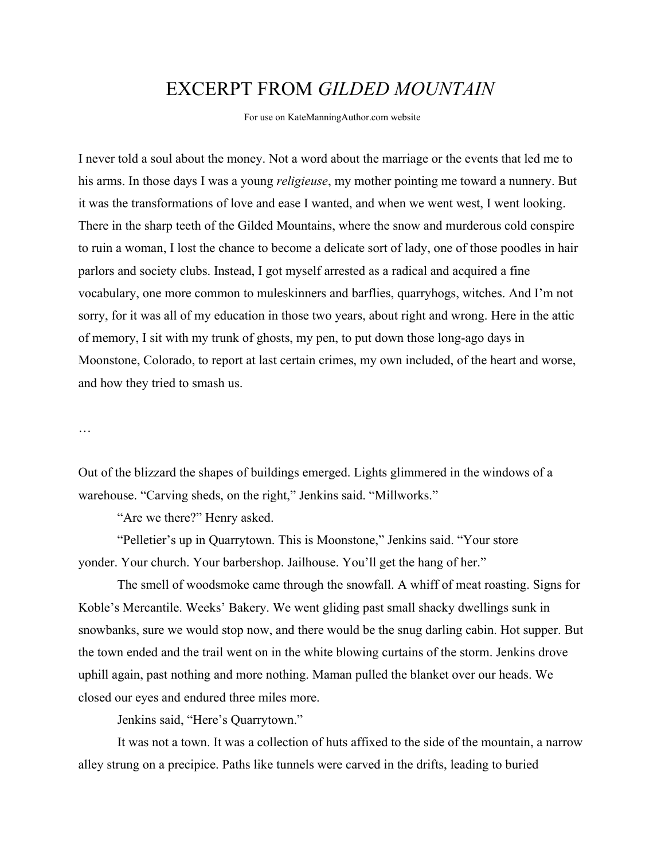## EXCERPT FROM *GILDED MOUNTAIN*

For use on KateManningAuthor.com website

I never told a soul about the money. Not a word about the marriage or the events that led me to his arms. In those days I was a young *religieuse*, my mother pointing me toward a nunnery. But it was the transformations of love and ease I wanted, and when we went west, I went looking. There in the sharp teeth of the Gilded Mountains, where the snow and murderous cold conspire to ruin a woman, I lost the chance to become a delicate sort of lady, one of those poodles in hair parlors and society clubs. Instead, I got myself arrested as a radical and acquired a fine vocabulary, one more common to muleskinners and barflies, quarryhogs, witches. And I'm not sorry, for it was all of my education in those two years, about right and wrong. Here in the attic of memory, I sit with my trunk of ghosts, my pen, to put down those long-ago days in Moonstone, Colorado, to report at last certain crimes, my own included, of the heart and worse, and how they tried to smash us.

…

Out of the blizzard the shapes of buildings emerged. Lights glimmered in the windows of a warehouse. "Carving sheds, on the right," Jenkins said. "Millworks."

"Are we there?" Henry asked.

"Pelletier's up in Quarrytown. This is Moonstone," Jenkins said. "Your store yonder. Your church. Your barbershop. Jailhouse. You'll get the hang of her."

The smell of woodsmoke came through the snowfall. A whiff of meat roasting. Signs for Koble's Mercantile. Weeks' Bakery. We went gliding past small shacky dwellings sunk in snowbanks, sure we would stop now, and there would be the snug darling cabin. Hot supper. But the town ended and the trail went on in the white blowing curtains of the storm. Jenkins drove uphill again, past nothing and more nothing. Maman pulled the blanket over our heads. We closed our eyes and endured three miles more.

Jenkins said, "Here's Quarrytown."

It was not a town. It was a collection of huts affixed to the side of the mountain, a narrow alley strung on a precipice. Paths like tunnels were carved in the drifts, leading to buried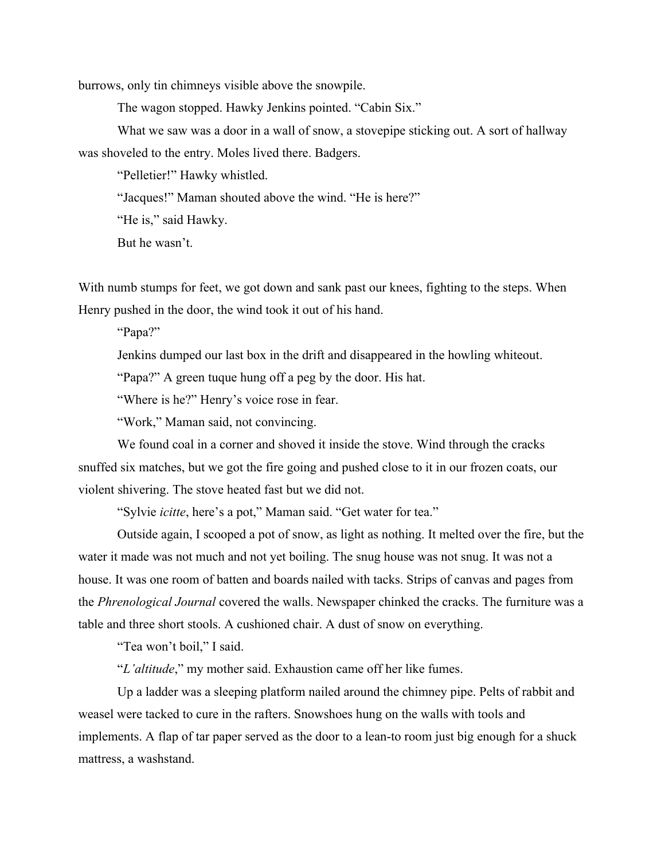burrows, only tin chimneys visible above the snowpile.

The wagon stopped. Hawky Jenkins pointed. "Cabin Six."

What we saw was a door in a wall of snow, a stovepipe sticking out. A sort of hallway was shoveled to the entry. Moles lived there. Badgers.

"Pelletier!" Hawky whistled.

"Jacques!" Maman shouted above the wind. "He is here?"

"He is," said Hawky.

But he wasn't.

With numb stumps for feet, we got down and sank past our knees, fighting to the steps. When Henry pushed in the door, the wind took it out of his hand.

"Papa?"

Jenkins dumped our last box in the drift and disappeared in the howling whiteout.

"Papa?" A green tuque hung off a peg by the door. His hat.

"Where is he?" Henry's voice rose in fear.

"Work," Maman said, not convincing.

We found coal in a corner and shoved it inside the stove. Wind through the cracks snuffed six matches, but we got the fire going and pushed close to it in our frozen coats, our violent shivering. The stove heated fast but we did not.

"Sylvie *icitte*, here's a pot," Maman said. "Get water for tea."

Outside again, I scooped a pot of snow, as light as nothing. It melted over the fire, but the water it made was not much and not yet boiling. The snug house was not snug. It was not a house. It was one room of batten and boards nailed with tacks. Strips of canvas and pages from the *Phrenological Journal* covered the walls. Newspaper chinked the cracks. The furniture was a table and three short stools. A cushioned chair. A dust of snow on everything.

"Tea won't boil," I said.

"*L'altitude*," my mother said. Exhaustion came off her like fumes.

Up a ladder was a sleeping platform nailed around the chimney pipe. Pelts of rabbit and weasel were tacked to cure in the rafters. Snowshoes hung on the walls with tools and implements. A flap of tar paper served as the door to a lean-to room just big enough for a shuck mattress, a washstand.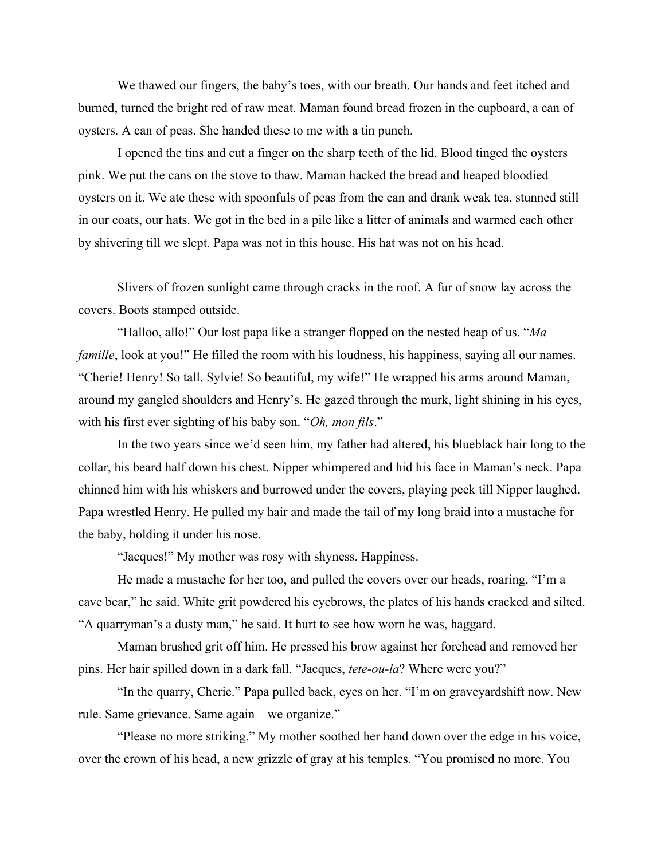We thawed our fingers, the baby's toes, with our breath. Our hands and feet itched and burned, turned the bright red of raw meat. Maman found bread frozen in the cupboard, a can of oysters. A can of peas. She handed these to me with a tin punch.

I opened the tins and cut a finger on the sharp teeth of the lid. Blood tinged the oysters pink. We put the cans on the stove to thaw. Maman hacked the bread and heaped bloodied oysters on it. We ate these with spoonfuls of peas from the can and drank weak tea, stunned still in our coats, our hats. We got in the bed in a pile like a litter of animals and warmed each other by shivering till we slept. Papa was not in this house. His hat was not on his head.

Slivers of frozen sunlight came through cracks in the roof. A fur of snow lay across the covers. Boots stamped outside.

"Halloo, allo!" Our lost papa like a stranger flopped on the nested heap of us. "*Ma famille*, look at you!" He filled the room with his loudness, his happiness, saying all our names. "Cherie! Henry! So tall, Sylvie! So beautiful, my wife!" He wrapped his arms around Maman, around my gangled shoulders and Henry's. He gazed through the murk, light shining in his eyes, with his first ever sighting of his baby son. "*Oh, mon fils*."

In the two years since we'd seen him, my father had altered, his blueblack hair long to the collar, his beard half down his chest. Nipper whimpered and hid his face in Maman's neck. Papa chinned him with his whiskers and burrowed under the covers, playing peek till Nipper laughed. Papa wrestled Henry. He pulled my hair and made the tail of my long braid into a mustache for the baby, holding it under his nose.

"Jacques!" My mother was rosy with shyness. Happiness.

He made a mustache for her too, and pulled the covers over our heads, roaring. "I'm a cave bear," he said. White grit powdered his eyebrows, the plates of his hands cracked and silted. "A quarryman's a dusty man," he said. It hurt to see how worn he was, haggard.

Maman brushed grit off him. He pressed his brow against her forehead and removed her pins. Her hair spilled down in a dark fall. "Jacques, *tete-ou-la*? Where were you?"

"In the quarry, Cherie." Papa pulled back, eyes on her. "I'm on graveyardshift now. New rule. Same grievance. Same again—we organize."

"Please no more striking." My mother soothed her hand down over the edge in his voice, over the crown of his head, a new grizzle of gray at his temples. "You promised no more. You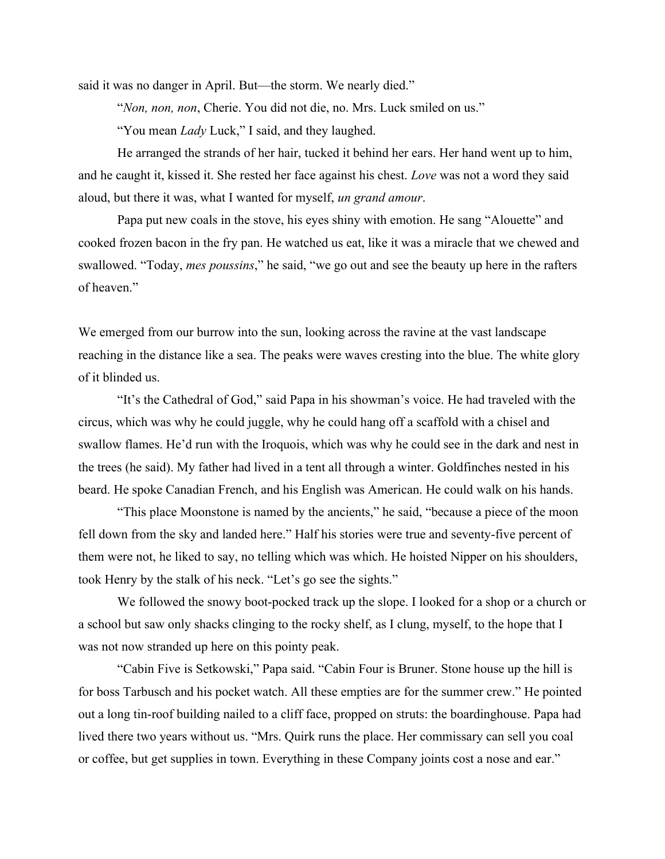said it was no danger in April. But—the storm. We nearly died."

"*Non, non, non*, Cherie. You did not die, no. Mrs. Luck smiled on us."

"You mean *Lady* Luck," I said, and they laughed.

He arranged the strands of her hair, tucked it behind her ears. Her hand went up to him, and he caught it, kissed it. She rested her face against his chest. *Love* was not a word they said aloud, but there it was, what I wanted for myself, *un grand amour*.

Papa put new coals in the stove, his eyes shiny with emotion. He sang "Alouette" and cooked frozen bacon in the fry pan. He watched us eat, like it was a miracle that we chewed and swallowed. "Today, *mes poussins*," he said, "we go out and see the beauty up here in the rafters of heaven."

We emerged from our burrow into the sun, looking across the ravine at the vast landscape reaching in the distance like a sea. The peaks were waves cresting into the blue. The white glory of it blinded us.

"It's the Cathedral of God," said Papa in his showman's voice. He had traveled with the circus, which was why he could juggle, why he could hang off a scaffold with a chisel and swallow flames. He'd run with the Iroquois, which was why he could see in the dark and nest in the trees (he said). My father had lived in a tent all through a winter. Goldfinches nested in his beard. He spoke Canadian French, and his English was American. He could walk on his hands.

"This place Moonstone is named by the ancients," he said, "because a piece of the moon fell down from the sky and landed here." Half his stories were true and seventy-five percent of them were not, he liked to say, no telling which was which. He hoisted Nipper on his shoulders, took Henry by the stalk of his neck. "Let's go see the sights."

We followed the snowy boot-pocked track up the slope. I looked for a shop or a church or a school but saw only shacks clinging to the rocky shelf, as I clung, myself, to the hope that I was not now stranded up here on this pointy peak.

"Cabin Five is Setkowski," Papa said. "Cabin Four is Bruner. Stone house up the hill is for boss Tarbusch and his pocket watch. All these empties are for the summer crew." He pointed out a long tin-roof building nailed to a cliff face, propped on struts: the boardinghouse. Papa had lived there two years without us. "Mrs. Quirk runs the place. Her commissary can sell you coal or coffee, but get supplies in town. Everything in these Company joints cost a nose and ear."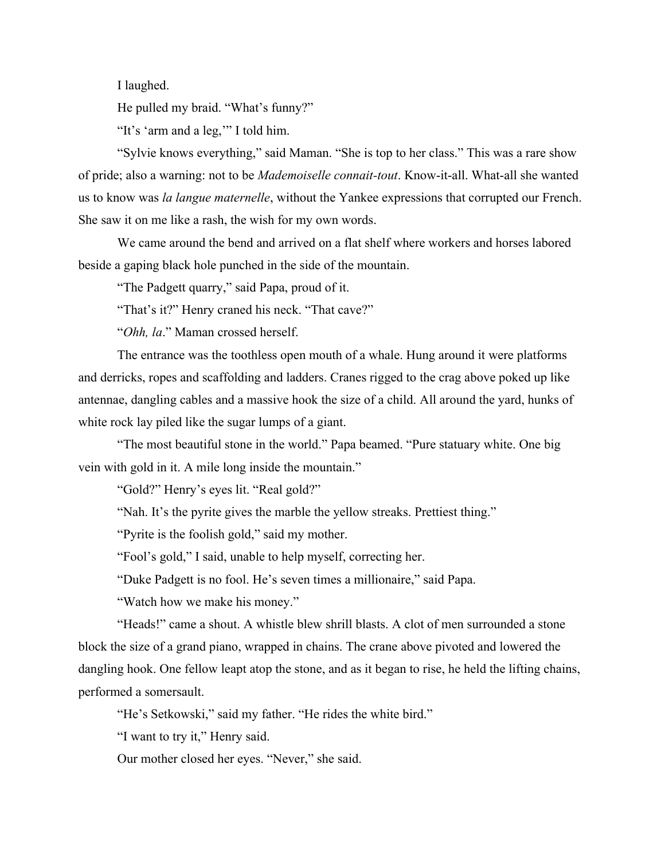I laughed.

He pulled my braid. "What's funny?"

"It's 'arm and a leg,'" I told him.

"Sylvie knows everything," said Maman. "She is top to her class." This was a rare show of pride; also a warning: not to be *Mademoiselle connait-tout*. Know-it-all. What-all she wanted us to know was *la langue maternelle*, without the Yankee expressions that corrupted our French. She saw it on me like a rash, the wish for my own words.

We came around the bend and arrived on a flat shelf where workers and horses labored beside a gaping black hole punched in the side of the mountain.

"The Padgett quarry," said Papa, proud of it.

"That's it?" Henry craned his neck. "That cave?"

"*Ohh, la*." Maman crossed herself.

The entrance was the toothless open mouth of a whale. Hung around it were platforms and derricks, ropes and scaffolding and ladders. Cranes rigged to the crag above poked up like antennae, dangling cables and a massive hook the size of a child. All around the yard, hunks of white rock lay piled like the sugar lumps of a giant.

"The most beautiful stone in the world." Papa beamed. "Pure statuary white. One big vein with gold in it. A mile long inside the mountain."

"Gold?" Henry's eyes lit. "Real gold?"

"Nah. It's the pyrite gives the marble the yellow streaks. Prettiest thing."

"Pyrite is the foolish gold," said my mother.

"Fool's gold," I said, unable to help myself, correcting her.

"Duke Padgett is no fool. He's seven times a millionaire," said Papa.

"Watch how we make his money."

"Heads!" came a shout. A whistle blew shrill blasts. A clot of men surrounded a stone block the size of a grand piano, wrapped in chains. The crane above pivoted and lowered the dangling hook. One fellow leapt atop the stone, and as it began to rise, he held the lifting chains, performed a somersault.

"He's Setkowski," said my father. "He rides the white bird."

"I want to try it," Henry said.

Our mother closed her eyes. "Never," she said.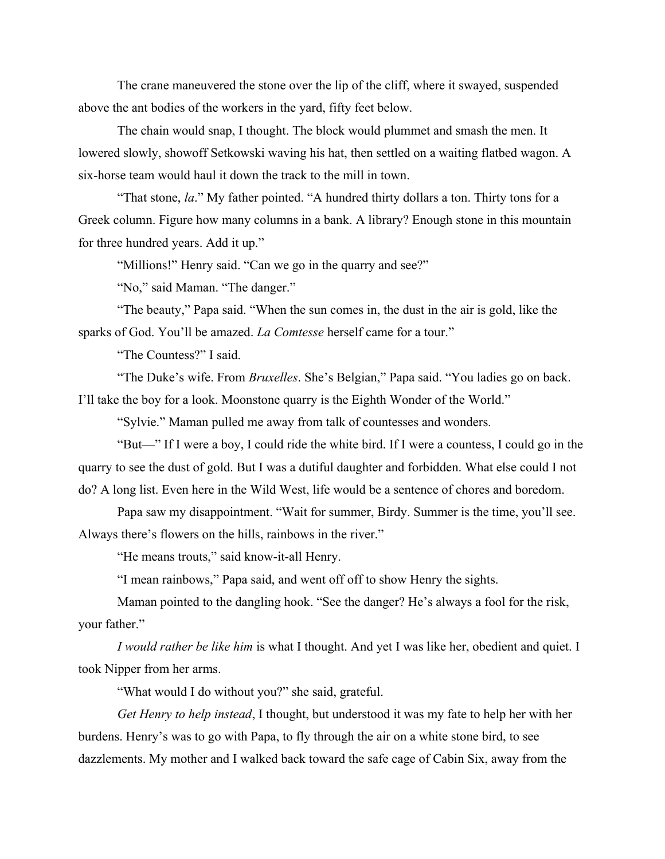The crane maneuvered the stone over the lip of the cliff, where it swayed, suspended above the ant bodies of the workers in the yard, fifty feet below.

The chain would snap, I thought. The block would plummet and smash the men. It lowered slowly, showoff Setkowski waving his hat, then settled on a waiting flatbed wagon. A six-horse team would haul it down the track to the mill in town.

"That stone, *la*." My father pointed. "A hundred thirty dollars a ton. Thirty tons for a Greek column. Figure how many columns in a bank. A library? Enough stone in this mountain for three hundred years. Add it up."

"Millions!" Henry said. "Can we go in the quarry and see?"

"No," said Maman. "The danger."

"The beauty," Papa said. "When the sun comes in, the dust in the air is gold, like the sparks of God. You'll be amazed. *La Comtesse* herself came for a tour."

"The Countess?" I said.

"The Duke's wife. From *Bruxelles*. She's Belgian," Papa said. "You ladies go on back.

I'll take the boy for a look. Moonstone quarry is the Eighth Wonder of the World."

"Sylvie." Maman pulled me away from talk of countesses and wonders.

"But—" If I were a boy, I could ride the white bird. If I were a countess, I could go in the quarry to see the dust of gold. But I was a dutiful daughter and forbidden. What else could I not do? A long list. Even here in the Wild West, life would be a sentence of chores and boredom.

Papa saw my disappointment. "Wait for summer, Birdy. Summer is the time, you'll see. Always there's flowers on the hills, rainbows in the river."

"He means trouts," said know-it-all Henry.

"I mean rainbows," Papa said, and went off off to show Henry the sights.

Maman pointed to the dangling hook. "See the danger? He's always a fool for the risk, your father."

*I would rather be like him* is what I thought. And yet I was like her, obedient and quiet. I took Nipper from her arms.

"What would I do without you?" she said, grateful.

*Get Henry to help instead*, I thought, but understood it was my fate to help her with her burdens. Henry's was to go with Papa, to fly through the air on a white stone bird, to see dazzlements. My mother and I walked back toward the safe cage of Cabin Six, away from the